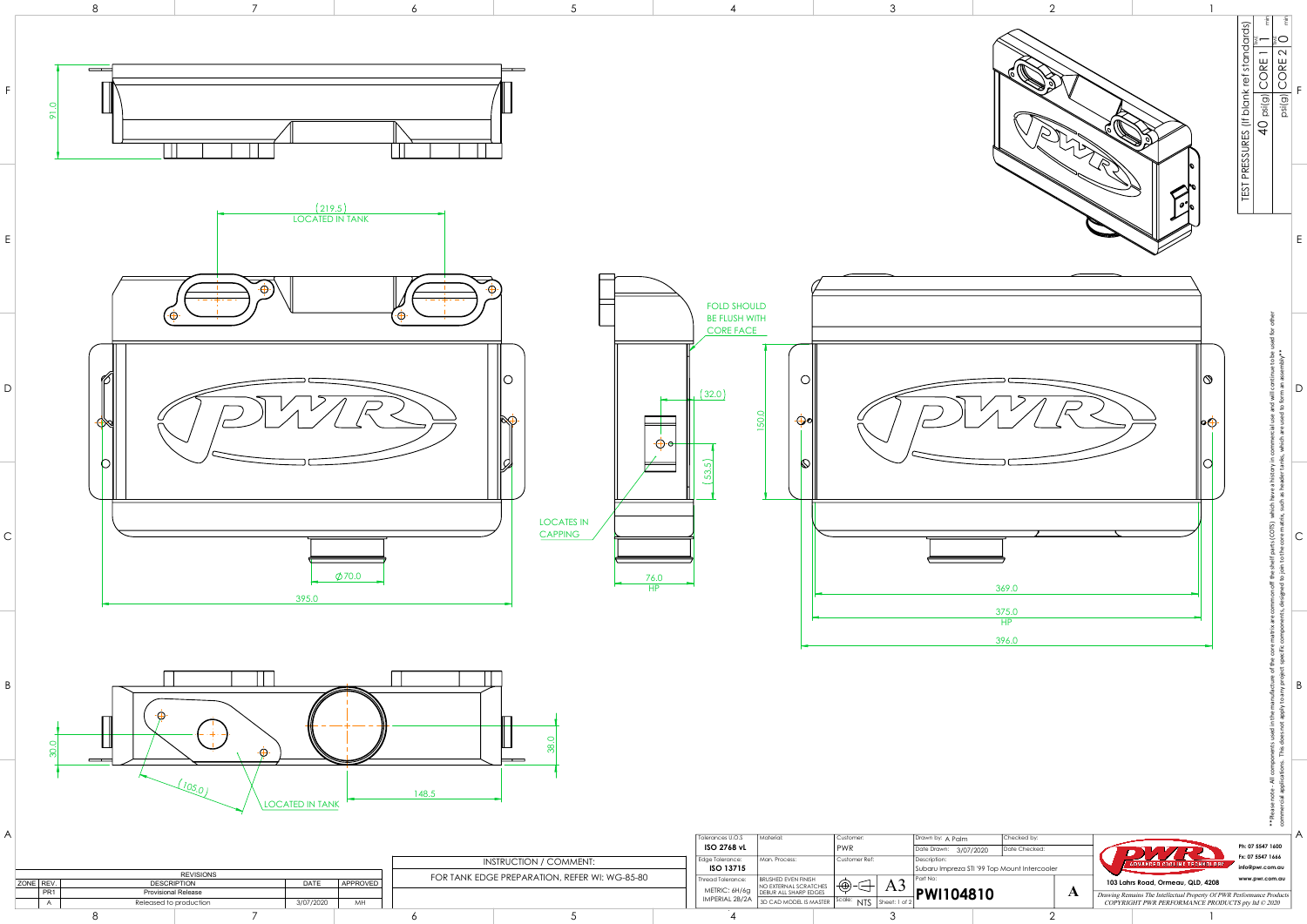